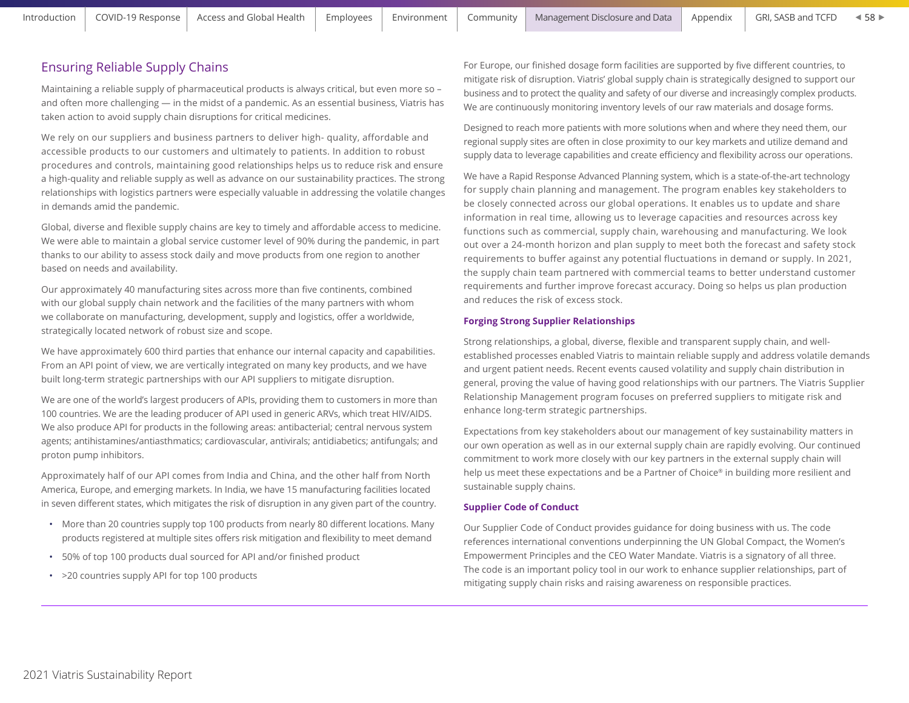$458$ 

# Ensuring Reliable Supply Chains

Maintaining a reliable supply of pharmaceutical products is always critical, but even more so – and often more challenging — in the midst of a pandemic. As an essential business, Viatris has taken action to avoid supply chain disruptions for critical medicines.

We rely on our suppliers and business partners to deliver high- quality, affordable and accessible products to our customers and ultimately to patients. In addition to robust procedures and controls, maintaining good relationships helps us to reduce risk and ensure a high-quality and reliable supply as well as advance on our sustainability practices. The strong relationships with logistics partners were especially valuable in addressing the volatile changes in demands amid the pandemic.

Global, diverse and flexible supply chains are key to timely and affordable access to medicine. We were able to maintain a global service customer level of 90% during the pandemic, in part thanks to our ability to assess stock daily and move products from one region to another based on needs and availability.

Our approximately 40 manufacturing sites across more than five continents, combined with our global supply chain network and the facilities of the many partners with whom we collaborate on manufacturing, development, supply and logistics, offer a worldwide, strategically located network of robust size and scope.

We have approximately 600 third parties that enhance our internal capacity and capabilities. From an API point of view, we are vertically integrated on many key products, and we have built long-term strategic partnerships with our API suppliers to mitigate disruption.

We are one of the world's largest producers of APIs, providing them to customers in more than 100 countries. We are the leading producer of API used in generic ARVs, which treat HIV/AIDS. We also produce API for products in the following areas: antibacterial; central nervous system agents; antihistamines/antiasthmatics; cardiovascular, antivirals; antidiabetics; antifungals; and proton pump inhibitors.

Approximately half of our API comes from India and China, and the other half from North America, Europe, and emerging markets. In India, we have 15 manufacturing facilities located in seven different states, which mitigates the risk of disruption in any given part of the country.

- More than 20 countries supply top 100 products from nearly 80 different locations. Many products registered at multiple sites offers risk mitigation and flexibility to meet demand
- 50% of top 100 products dual sourced for API and/or finished product
- >20 countries supply API for top 100 products

For Europe, our finished dosage form facilities are supported by five different countries, to mitigate risk of disruption. Viatris' global supply chain is strategically designed to support our business and to protect the quality and safety of our diverse and increasingly complex products. We are continuously monitoring inventory levels of our raw materials and dosage forms.

Designed to reach more patients with more solutions when and where they need them, our regional supply sites are often in close proximity to our key markets and utilize demand and supply data to leverage capabilities and create efficiency and flexibility across our operations.

We have a Rapid Response Advanced Planning system, which is a state-of-the-art technology for supply chain planning and management. The program enables key stakeholders to be closely connected across our global operations. It enables us to update and share information in real time, allowing us to leverage capacities and resources across key functions such as commercial, supply chain, warehousing and manufacturing. We look out over a 24-month horizon and plan supply to meet both the forecast and safety stock requirements to buffer against any potential fluctuations in demand or supply. In 2021, the supply chain team partnered with commercial teams to better understand customer requirements and further improve forecast accuracy. Doing so helps us plan production and reduces the risk of excess stock.

#### **Forging Strong Supplier Relationships**

Strong relationships, a global, diverse, flexible and transparent supply chain, and wellestablished processes enabled Viatris to maintain reliable supply and address volatile demands and urgent patient needs. Recent events caused volatility and supply chain distribution in general, proving the value of having good relationships with our partners. The Viatris Supplier Relationship Management program focuses on preferred suppliers to mitigate risk and enhance long-term strategic partnerships.

Expectations from key stakeholders about our management of key sustainability matters in our own operation as well as in our external supply chain are rapidly evolving. Our continued commitment to work more closely with our key partners in the external supply chain will help us meet these expectations and be a Partner of Choice® in building more resilient and sustainable supply chains.

#### **Supplier Code of Conduct**

Our Supplier Code of Conduct provides guidance for doing business with us. The code references international conventions underpinning the UN Global Compact, the Women's Empowerment Principles and the CEO Water Mandate. Viatris is a signatory of all three. The code is an important policy tool in our work to enhance supplier relationships, part of mitigating supply chain risks and raising awareness on responsible practices.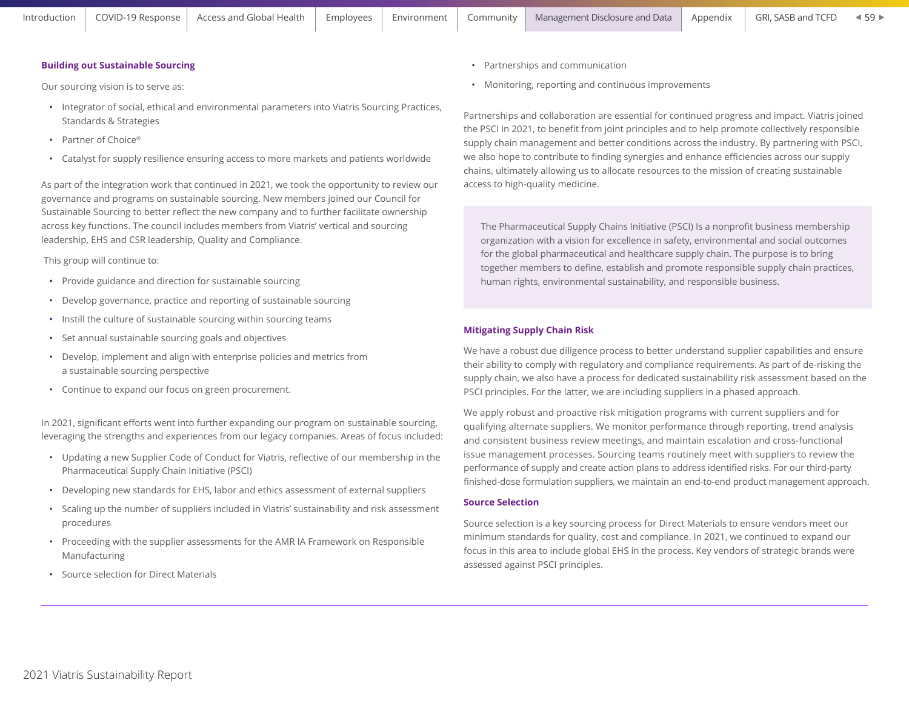## **Building out Sustainable Sourcing**

Our sourcing vision is to serve as:

- Integrator of social, ethical and environmental parameters into Viatris Sourcing Practices, Standards & Strategies
- Partner of Choice®
- Catalyst for supply resilience ensuring access to more markets and patients worldwide

As part of the integration work that continued in 2021, we took the opportunity to review our governance and programs on sustainable sourcing. New members joined our Council for Sustainable Sourcing to better reflect the new company and to further facilitate ownership across key functions. The council includes members from Viatris' vertical and sourcing leadership, EHS and CSR leadership, Quality and Compliance.

This group will continue to:

- Provide guidance and direction for sustainable sourcing
- Develop governance, practice and reporting of sustainable sourcing
- Instill the culture of sustainable sourcing within sourcing teams
- Set annual sustainable sourcing goals and objectives
- Develop, implement and align with enterprise policies and metrics from a sustainable sourcing perspective
- Continue to expand our focus on green procurement.

In 2021, significant efforts went into further expanding our program on sustainable sourcing, leveraging the strengths and experiences from our legacy companies. Areas of focus included:

- Updating a new Supplier Code of Conduct for Viatris, reflective of our membership in the Pharmaceutical Supply Chain Initiative (PSCI)
- Developing new standards for EHS, labor and ethics assessment of external suppliers
- Scaling up the number of suppliers included in Viatris' sustainability and risk assessment procedures
- Proceeding with the supplier assessments for the AMR IA Framework on Responsible Manufacturing
- Source selection for Direct Materials
- Partnerships and communication
- Monitoring, reporting and continuous improvements

Partnerships and collaboration are essential for continued progress and impact. Viatris joined the PSCI in 2021, to benefit from joint principles and to help promote collectively responsible supply chain management and better conditions across the industry. By partnering with PSCI, we also hope to contribute to finding synergies and enhance efficiencies across our supply chains, ultimately allowing us to allocate resources to the mission of creating sustainable access to high-quality medicine.

The Pharmaceutical Supply Chains Initiative (PSCI) Is a nonprofit business membership organization with a vision for excellence in safety, environmental and social outcomes for the global pharmaceutical and healthcare supply chain. The purpose is to bring together members to define, establish and promote responsible supply chain practices, human rights, environmental sustainability, and responsible business.

## **Mitigating Supply Chain Risk**

We have a robust due diligence process to better understand supplier capabilities and ensure their ability to comply with regulatory and compliance requirements. As part of de-risking the supply chain, we also have a process for dedicated sustainability risk assessment based on the PSCI principles. For the latter, we are including suppliers in a phased approach.

We apply robust and proactive risk mitigation programs with current suppliers and for qualifying alternate suppliers. We monitor performance through reporting, trend analysis and consistent business review meetings, and maintain escalation and cross-functional issue management processes. Sourcing teams routinely meet with suppliers to review the performance of supply and create action plans to address identified risks. For our third-party finished-dose formulation suppliers, we maintain an end-to-end product management approach.

### **Source Selection**

Source selection is a key sourcing process for Direct Materials to ensure vendors meet our minimum standards for quality, cost and compliance. In 2021, we continued to expand our focus in this area to include global EHS in the process. Key vendors of strategic brands were assessed against PSCI principles.